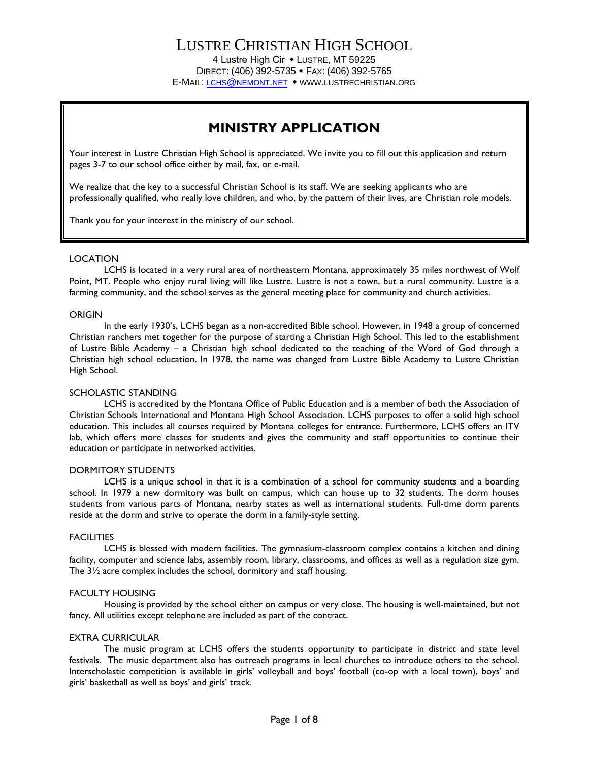# LUSTRE CHRISTIAN HIGH SCHOOL

4 Lustre High Cir • LUSTRE, MT 59225 DIRECT: (406) 392-5735 • FAX: (406) 392-5765 E-MAIL: LCHS@[NEMONT](mailto:lchs@nemont.net).NET • WWW.LUSTRECHRISTIAN.ORG

# **MINISTRY APPLICATION**

Your interest in Lustre Christian High School is appreciated. We invite you to fill out this application and return pages 3-7 to our school office either by mail, fax, or e-mail.

We realize that the key to a successful Christian School is its staff. We are seeking applicants who are professionally qualified, who really love children, and who, by the pattern of their lives, are Christian role models.

Thank you for your interest in the ministry of our school.

#### LOCATION

LCHS is located in a very rural area of northeastern Montana, approximately 35 miles northwest of Wolf Point, MT. People who enjoy rural living will like Lustre. Lustre is not a town, but a rural community. Lustre is a farming community, and the school serves as the general meeting place for community and church activities.

#### ORIGIN

In the early 1930's, LCHS began as a non-accredited Bible school. However, in 1948 a group of concerned Christian ranchers met together for the purpose of starting a Christian High School. This led to the establishment of Lustre Bible Academy – a Christian high school dedicated to the teaching of the Word of God through a Christian high school education. In 1978, the name was changed from Lustre Bible Academy to Lustre Christian High School.

#### SCHOLASTIC STANDING

LCHS is accredited by the Montana Office of Public Education and is a member of both the Association of Christian Schools International and Montana High School Association. LCHS purposes to offer a solid high school education. This includes all courses required by Montana colleges for entrance. Furthermore, LCHS offers an ITV lab, which offers more classes for students and gives the community and staff opportunities to continue their education or participate in networked activities.

#### DORMITORY STUDENTS

LCHS is a unique school in that it is a combination of a school for community students and a boarding school. In 1979 a new dormitory was built on campus, which can house up to 32 students. The dorm houses students from various parts of Montana, nearby states as well as international students. Full-time dorm parents reside at the dorm and strive to operate the dorm in a family-style setting.

#### **FACILITIES**

LCHS is blessed with modern facilities. The gymnasium-classroom complex contains a kitchen and dining facility, computer and science labs, assembly room, library, classrooms, and offices as well as a regulation size gym. The 3½ acre complex includes the school, dormitory and staff housing.

#### FACULTY HOUSING

Housing is provided by the school either on campus or very close. The housing is well-maintained, but not fancy. All utilities except telephone are included as part of the contract.

#### EXTRA CURRICULAR

The music program at LCHS offers the students opportunity to participate in district and state level festivals. The music department also has outreach programs in local churches to introduce others to the school. Interscholastic competition is available in girls' volleyball and boys' football (co-op with a local town), boys' and girls' basketball as well as boys' and girls' track.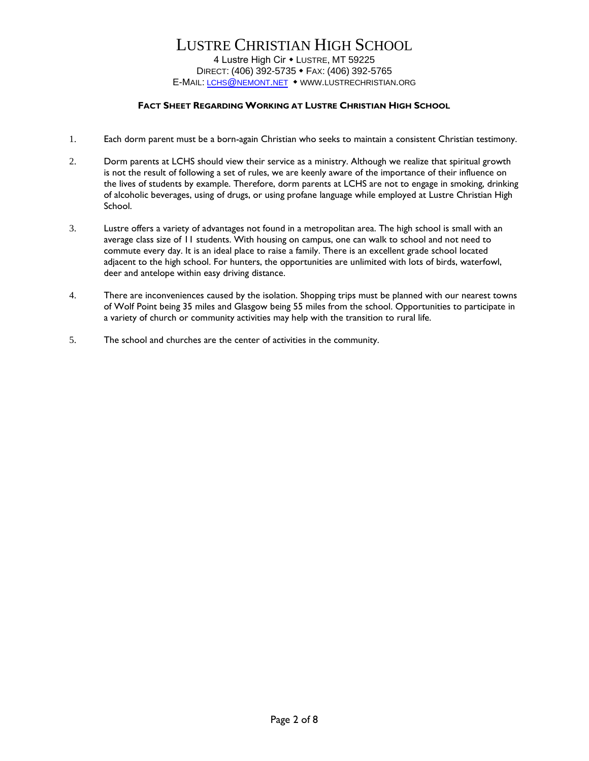## LUSTRE CHRISTIAN HIGH SCHOOL 4 Lustre High Cir • LUSTRE, MT 59225 DIRECT: (406) 392-5735 • FAX: (406) 392-5765 E-MAIL: LCHS@[NEMONT](mailto:lchs@nemont.net).NET • WWW.LUSTRECHRISTIAN.ORG

#### **FACT SHEET REGARDING WORKING AT LUSTRE CHRISTIAN HIGH SCHOOL**

- 1. Each dorm parent must be a born-again Christian who seeks to maintain a consistent Christian testimony.
- 2. Dorm parents at LCHS should view their service as a ministry. Although we realize that spiritual growth is not the result of following a set of rules, we are keenly aware of the importance of their influence on the lives of students by example. Therefore, dorm parents at LCHS are not to engage in smoking, drinking of alcoholic beverages, using of drugs, or using profane language while employed at Lustre Christian High School.
- 3. Lustre offers a variety of advantages not found in a metropolitan area. The high school is small with an average class size of 11 students. With housing on campus, one can walk to school and not need to commute every day. It is an ideal place to raise a family. There is an excellent grade school located adjacent to the high school. For hunters, the opportunities are unlimited with lots of birds, waterfowl, deer and antelope within easy driving distance.
- 4. There are inconveniences caused by the isolation. Shopping trips must be planned with our nearest towns of Wolf Point being 35 miles and Glasgow being 55 miles from the school. Opportunities to participate in a variety of church or community activities may help with the transition to rural life.
- 5. The school and churches are the center of activities in the community.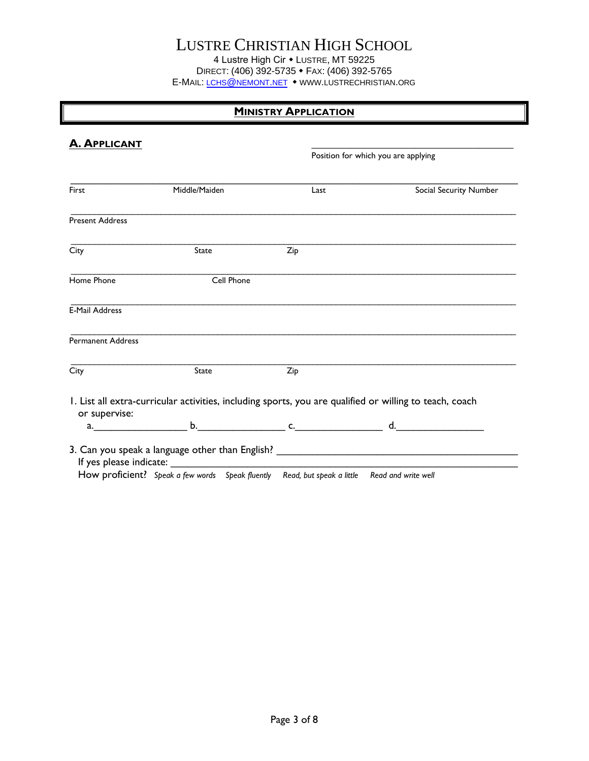# LUSTRE CHRISTIAN HIGH SCHOOL

4 Lustre High Cir • Lustre, MT 59225 DIRECT: (406) 392-5735 • FAX: (406) 392-5765 E-MAIL: LCHS@[NEMONT](mailto:lchs@nemont.net).NET • WWW.LUSTRECHRISTIAN.ORG

## **MINISTRY APPLICATION**

| <b>A. APPLICANT</b>      |               |      | Position for which you are applying                                                                     |
|--------------------------|---------------|------|---------------------------------------------------------------------------------------------------------|
| First                    | Middle/Maiden | Last | Social Security Number                                                                                  |
| <b>Present Address</b>   |               |      |                                                                                                         |
| City                     | State         | Zip  |                                                                                                         |
| Home Phone               | Cell Phone    |      |                                                                                                         |
| <b>E-Mail Address</b>    |               |      |                                                                                                         |
| <b>Permanent Address</b> |               |      |                                                                                                         |
| City                     | State         | Zip  |                                                                                                         |
|                          |               |      | I. List all extra-curricular activities, including sports, you are qualified or willing to teach, coach |
| or supervise:            |               |      | a. b. b. c. c. d.                                                                                       |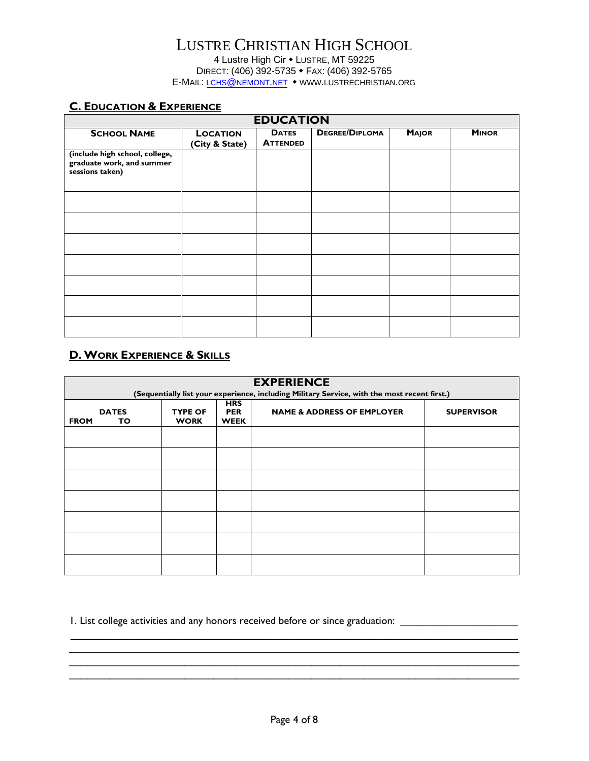### **C. EDUCATION & EXPERIENCE**

| <b>EDUCATION</b>                                                               |                                   |                                 |                       |              |              |
|--------------------------------------------------------------------------------|-----------------------------------|---------------------------------|-----------------------|--------------|--------------|
| <b>SCHOOL NAME</b>                                                             | <b>LOCATION</b><br>(City & State) | <b>DATES</b><br><b>ATTENDED</b> | <b>DEGREE/DIPLOMA</b> | <b>MAJOR</b> | <b>MINOR</b> |
| (include high school, college,<br>graduate work, and summer<br>sessions taken) |                                   |                                 |                       |              |              |
|                                                                                |                                   |                                 |                       |              |              |
|                                                                                |                                   |                                 |                       |              |              |
|                                                                                |                                   |                                 |                       |              |              |
|                                                                                |                                   |                                 |                       |              |              |
|                                                                                |                                   |                                 |                       |              |              |
|                                                                                |                                   |                                 |                       |              |              |
|                                                                                |                                   |                                 |                       |              |              |

# **D. WORK EXPERIENCE & SKILLS**

| <b>EXPERIENCE</b> |                                                                                                                                                                     |  |  |  |  |
|-------------------|---------------------------------------------------------------------------------------------------------------------------------------------------------------------|--|--|--|--|
|                   | (Sequentially list your experience, including Military Service, with the most recent first.)                                                                        |  |  |  |  |
| <b>FROM</b>       | <b>HRS</b><br><b>DATES</b><br><b>TYPE OF</b><br><b>NAME &amp; ADDRESS OF EMPLOYER</b><br><b>PER</b><br><b>SUPERVISOR</b><br><b>WORK</b><br><b>WEEK</b><br><b>TO</b> |  |  |  |  |
|                   |                                                                                                                                                                     |  |  |  |  |
|                   |                                                                                                                                                                     |  |  |  |  |
|                   |                                                                                                                                                                     |  |  |  |  |
|                   |                                                                                                                                                                     |  |  |  |  |
|                   |                                                                                                                                                                     |  |  |  |  |
|                   |                                                                                                                                                                     |  |  |  |  |
|                   |                                                                                                                                                                     |  |  |  |  |

1. List college activities and any honors received before or since graduation: \_\_\_\_\_\_\_\_\_\_\_\_\_\_\_\_\_\_\_\_\_\_\_\_\_\_\_\_\_\_\_

**\_\_\_\_\_\_\_\_\_\_\_\_\_\_\_\_\_\_\_\_\_\_\_\_\_\_\_\_\_\_\_\_\_\_\_\_\_\_\_\_\_\_\_\_\_\_\_\_\_\_\_\_\_\_\_\_\_\_\_\_\_\_\_\_\_\_\_\_\_\_\_\_\_\_\_\_\_\_ \_\_\_\_\_\_\_\_\_\_\_\_\_\_\_\_\_\_\_\_\_\_\_\_\_\_\_\_\_\_\_\_\_\_\_\_\_\_\_\_\_\_\_\_\_\_\_\_\_\_\_\_\_\_\_\_\_\_\_\_\_\_\_\_\_\_\_\_\_\_\_\_\_\_\_\_\_\_ \_\_\_\_\_\_\_\_\_\_\_\_\_\_\_\_\_\_\_\_\_\_\_\_\_\_\_\_\_\_\_\_\_\_\_\_\_\_\_\_\_\_\_\_\_\_\_\_\_\_\_\_\_\_\_\_\_\_\_\_\_\_\_\_\_\_\_\_\_\_\_\_\_\_\_\_\_\_**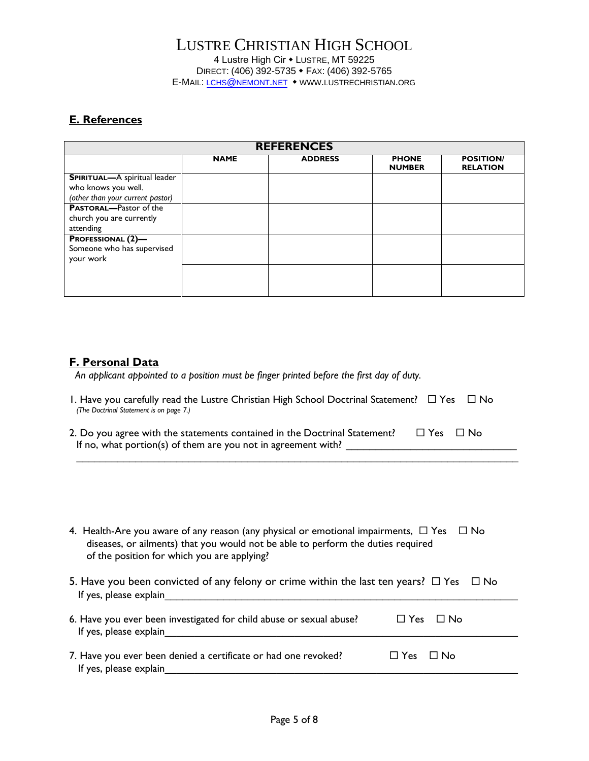### **E. References**

| <b>REFERENCES</b>                                                                              |             |                |                               |                                     |
|------------------------------------------------------------------------------------------------|-------------|----------------|-------------------------------|-------------------------------------|
|                                                                                                | <b>NAME</b> | <b>ADDRESS</b> | <b>PHONE</b><br><b>NUMBER</b> | <b>POSITION/</b><br><b>RELATION</b> |
| <b>SPIRITUAL-A</b> spiritual leader<br>who knows you well.<br>(other than your current pastor) |             |                |                               |                                     |
| <b>PASTORAL-Pastor of the</b><br>church you are currently<br>attending                         |             |                |                               |                                     |
| <b>PROFESSIONAL (2)-</b><br>Someone who has supervised<br>your work                            |             |                |                               |                                     |
|                                                                                                |             |                |                               |                                     |

### **F. Personal Data**

 *An applicant appointed to a position must be finger printed before the first day of duty.*

| 1. Have you carefully read the Lustre Christian High School Doctrinal Statement? $\Box$ Yes $\Box$ No |  |
|-------------------------------------------------------------------------------------------------------|--|
| (The Doctrinal Statement is on page 7.)                                                               |  |

| 2. Do you agree with the statements contained in the Doctrinal Statement? $\Box$ Yes $\Box$ No |  |  |
|------------------------------------------------------------------------------------------------|--|--|
| If no, what portion(s) of them are you not in agreement with?                                  |  |  |

\_\_\_\_\_\_\_\_\_\_\_\_\_\_\_\_\_\_\_\_\_\_\_\_\_\_\_\_\_\_\_\_\_\_\_\_\_\_\_\_\_\_\_\_\_\_\_\_\_\_\_\_\_\_\_\_\_\_\_\_\_\_\_\_\_\_\_\_\_\_\_\_\_\_\_

| 4. Health-Are you aware of any reason (any physical or emotional impairments, $\Box$ Yes $\Box$ No |  |
|----------------------------------------------------------------------------------------------------|--|
| diseases, or ailments) that you would not be able to perform the duties required                   |  |
| of the position for which you are applying?                                                        |  |

5. Have you been convicted of any felony or crime within the last ten years?  $\Box$  Yes  $\Box$  No If yes, please explain

| 6. Have you ever been investigated for child abuse or sexual abuse?<br>If yes, please explain |                      | $\Box$ Yes $\Box$ No |
|-----------------------------------------------------------------------------------------------|----------------------|----------------------|
| 7. Have you ever been denied a certificate or had one revoked?                                | $\Box$ Yes $\Box$ No |                      |

If yes, please explain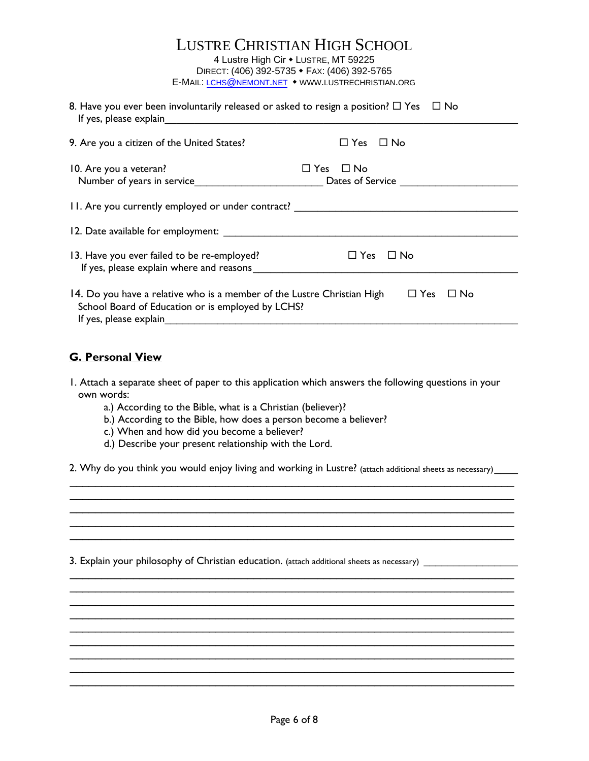| <b>LUSTRE CHRISTIAN HIGH SCHOOL</b>               |
|---------------------------------------------------|
| 4 Lustre High Cir • LUSTRE, MT 59225              |
| DIRECT: (406) 392-5735 • FAX: (406) 392-5765      |
| E-MAIL: LCHS@NEMONT.NET • WWW.LUSTRECHRISTIAN.ORG |

| 8. Have you ever been involuntarily released or asked to resign a position? $\Box$ Yes $\Box$ No<br>If yes, please explain<br><u> 1989 - John Stein, Amerikaansk politiker (</u> |                                           |
|----------------------------------------------------------------------------------------------------------------------------------------------------------------------------------|-------------------------------------------|
| 9. Are you a citizen of the United States?                                                                                                                                       | $\Box$ Yes $\Box$ No                      |
| 10. Are you a veteran?<br>Number of years in service                                                                                                                             | $\square$ Yes<br>⊟ No<br>Dates of Service |
| 11. Are you currently employed or under contract? ______________________________                                                                                                 |                                           |
|                                                                                                                                                                                  |                                           |
| 13. Have you ever failed to be re-employed?<br>If yes, please explain where and reasons                                                                                          | $\Box$ Yes $\Box$ No                      |
| 14. Do you have a relative who is a member of the Lustre Christian High<br>School Board of Education or is employed by LCHS?<br>If yes, please explain                           | $\Box$ Yes<br>$\Box$ No                   |

### **G. Personal View**

- 1. Attach a separate sheet of paper to this application which answers the following questions in your own words:
	- a.) According to the Bible, what is a Christian (believer)?
	- b.) According to the Bible, how does a person become a believer?
	- c.) When and how did you become a believer?
	- d.) Describe your present relationship with the Lord.

2. Why do you think you would enjoy living and working in Lustre? (attach additional sheets as necessary)\_\_\_\_\_ \_\_\_\_\_\_\_\_\_\_\_\_\_\_\_\_\_\_\_\_\_\_\_\_\_\_\_\_\_\_\_\_\_\_\_\_\_\_\_\_\_\_\_\_\_\_\_\_\_\_\_\_\_\_\_\_\_\_\_\_\_\_\_\_\_\_\_\_\_\_

\_\_\_\_\_\_\_\_\_\_\_\_\_\_\_\_\_\_\_\_\_\_\_\_\_\_\_\_\_\_\_\_\_\_\_\_\_\_\_\_\_\_\_\_\_\_\_\_\_\_\_\_\_\_\_\_\_\_\_\_\_\_\_\_\_\_\_\_\_\_ \_\_\_\_\_\_\_\_\_\_\_\_\_\_\_\_\_\_\_\_\_\_\_\_\_\_\_\_\_\_\_\_\_\_\_\_\_\_\_\_\_\_\_\_\_\_\_\_\_\_\_\_\_\_\_\_\_\_\_\_\_\_\_\_\_\_\_\_\_\_

\_\_\_\_\_\_\_\_\_\_\_\_\_\_\_\_\_\_\_\_\_\_\_\_\_\_\_\_\_\_\_\_\_\_\_\_\_\_\_\_\_\_\_\_\_\_\_\_\_\_\_\_\_\_\_\_\_\_\_\_\_\_\_\_\_\_\_\_\_\_

\_\_\_\_\_\_\_\_\_\_\_\_\_\_\_\_\_\_\_\_\_\_\_\_\_\_\_\_\_\_\_\_\_\_\_\_\_\_\_\_\_\_\_\_\_\_\_\_\_\_\_\_\_\_\_\_\_\_\_\_\_\_\_\_\_\_\_\_\_\_ \_\_\_\_\_\_\_\_\_\_\_\_\_\_\_\_\_\_\_\_\_\_\_\_\_\_\_\_\_\_\_\_\_\_\_\_\_\_\_\_\_\_\_\_\_\_\_\_\_\_\_\_\_\_\_\_\_\_\_\_\_\_\_\_\_\_\_\_\_\_ \_\_\_\_\_\_\_\_\_\_\_\_\_\_\_\_\_\_\_\_\_\_\_\_\_\_\_\_\_\_\_\_\_\_\_\_\_\_\_\_\_\_\_\_\_\_\_\_\_\_\_\_\_\_\_\_\_\_\_\_\_\_\_\_\_\_\_\_\_\_ \_\_\_\_\_\_\_\_\_\_\_\_\_\_\_\_\_\_\_\_\_\_\_\_\_\_\_\_\_\_\_\_\_\_\_\_\_\_\_\_\_\_\_\_\_\_\_\_\_\_\_\_\_\_\_\_\_\_\_\_\_\_\_\_\_\_\_\_\_\_ \_\_\_\_\_\_\_\_\_\_\_\_\_\_\_\_\_\_\_\_\_\_\_\_\_\_\_\_\_\_\_\_\_\_\_\_\_\_\_\_\_\_\_\_\_\_\_\_\_\_\_\_\_\_\_\_\_\_\_\_\_\_\_\_\_\_\_\_\_\_ \_\_\_\_\_\_\_\_\_\_\_\_\_\_\_\_\_\_\_\_\_\_\_\_\_\_\_\_\_\_\_\_\_\_\_\_\_\_\_\_\_\_\_\_\_\_\_\_\_\_\_\_\_\_\_\_\_\_\_\_\_\_\_\_\_\_\_\_\_\_ \_\_\_\_\_\_\_\_\_\_\_\_\_\_\_\_\_\_\_\_\_\_\_\_\_\_\_\_\_\_\_\_\_\_\_\_\_\_\_\_\_\_\_\_\_\_\_\_\_\_\_\_\_\_\_\_\_\_\_\_\_\_\_\_\_\_\_\_\_\_ \_\_\_\_\_\_\_\_\_\_\_\_\_\_\_\_\_\_\_\_\_\_\_\_\_\_\_\_\_\_\_\_\_\_\_\_\_\_\_\_\_\_\_\_\_\_\_\_\_\_\_\_\_\_\_\_\_\_\_\_\_\_\_\_\_\_\_\_\_\_ \_\_\_\_\_\_\_\_\_\_\_\_\_\_\_\_\_\_\_\_\_\_\_\_\_\_\_\_\_\_\_\_\_\_\_\_\_\_\_\_\_\_\_\_\_\_\_\_\_\_\_\_\_\_\_\_\_\_\_\_\_\_\_\_\_\_\_\_\_\_

3. Explain your philosophy of Christian education. (attach additional sheets as necessary) \_\_\_\_\_\_\_\_\_\_\_\_\_\_\_\_\_\_\_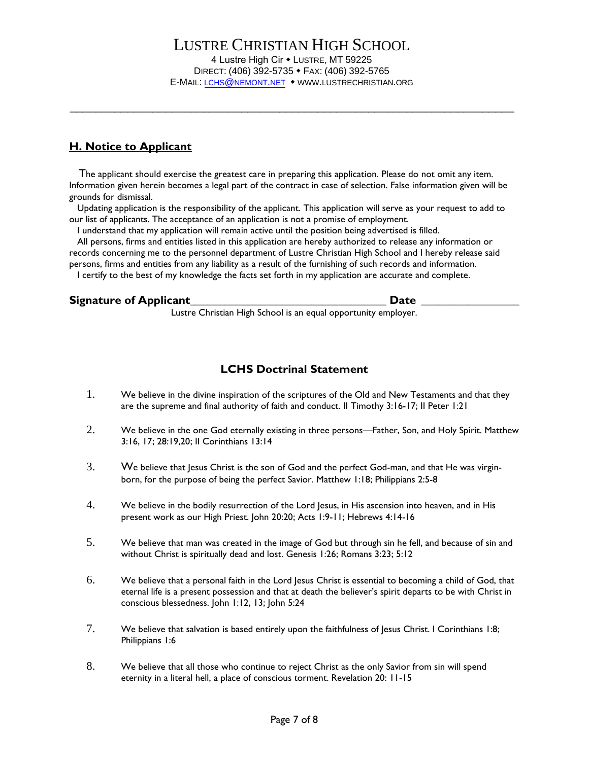\_\_\_\_\_\_\_\_\_\_\_\_\_\_\_\_\_\_\_\_\_\_\_\_\_\_\_\_\_\_\_\_\_\_\_\_\_\_\_\_\_\_\_\_\_\_\_\_\_\_\_\_\_\_\_\_\_\_\_\_\_\_\_\_\_\_\_\_\_\_

### **H. Notice to Applicant**

 The applicant should exercise the greatest care in preparing this application. Please do not omit any item. Information given herein becomes a legal part of the contract in case of selection. False information given will be grounds for dismissal.

 Updating application is the responsibility of the applicant. This application will serve as your request to add to our list of applicants. The acceptance of an application is not a promise of employment.

I understand that my application will remain active until the position being advertised is filled.

 All persons, firms and entities listed in this application are hereby authorized to release any information or records concerning me to the personnel department of Lustre Christian High School and I hereby release said persons, firms and entities from any liability as a result of the furnishing of such records and information. I certify to the best of my knowledge the facts set forth in my application are accurate and complete.

### Signature of Applicant **Signature of Applicant**

Lustre Christian High School is an equal opportunity employer.

# **LCHS Doctrinal Statement**

- 1. We believe in the divine inspiration of the scriptures of the Old and New Testaments and that they are the supreme and final authority of faith and conduct. II Timothy 3:16-17; II Peter 1:21
- 2. We believe in the one God eternally existing in three persons—Father, Son, and Holy Spirit. Matthew 3:16, 17; 28:19,20; II Corinthians 13:14
- 3. We believe that Jesus Christ is the son of God and the perfect God-man, and that He was virginborn, for the purpose of being the perfect Savior. Matthew 1:18; Philippians 2:5-8
- 4. We believe in the bodily resurrection of the Lord Jesus, in His ascension into heaven, and in His present work as our High Priest. John 20:20; Acts 1:9-11; Hebrews 4:14-16
- 5. We believe that man was created in the image of God but through sin he fell, and because of sin and without Christ is spiritually dead and lost. Genesis 1:26; Romans 3:23; 5:12
- 6. We believe that a personal faith in the Lord Jesus Christ is essential to becoming a child of God, that eternal life is a present possession and that at death the believer's spirit departs to be with Christ in conscious blessedness. John 1:12, 13; John 5:24
- 7. We believe that salvation is based entirely upon the faithfulness of Jesus Christ. I Corinthians 1:8; Philippians 1:6
- 8. We believe that all those who continue to reject Christ as the only Savior from sin will spend eternity in a literal hell, a place of conscious torment. Revelation 20: 11-15